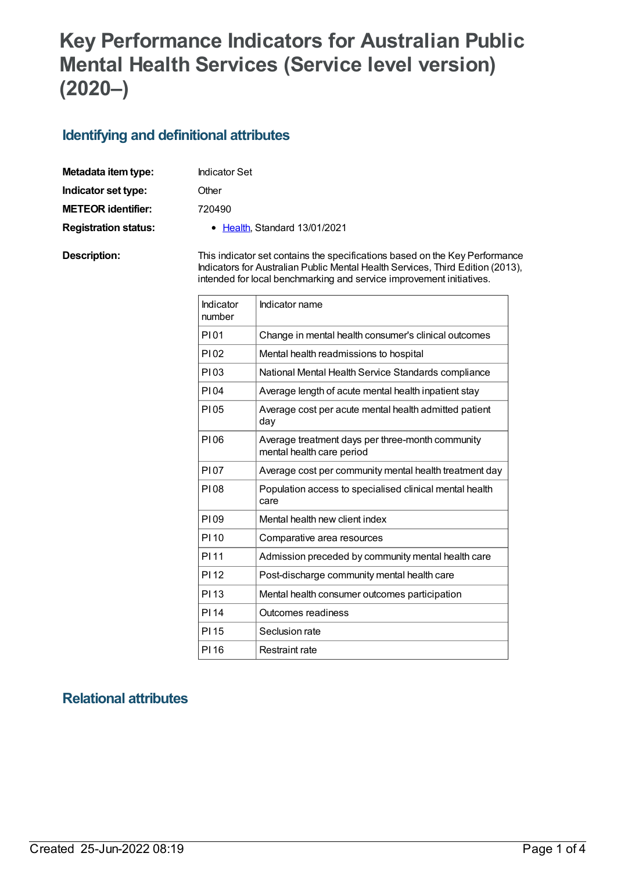# **Key Performance Indicators for Australian Public Mental Health Services (Service level version) (2020–)**

#### **Identifying and definitional attributes**

| Metadata item type:         | <b>Indicator Set</b>                                                        |
|-----------------------------|-----------------------------------------------------------------------------|
| Indicator set type:         | Other                                                                       |
| <b>METEOR identifier:</b>   | 720490                                                                      |
| <b>Registration status:</b> | • Health, Standard 13/01/2021                                               |
| Description:                | This indicator set contains the specifications based on the Key Performance |

Indicators for Australian Public Mental Health Services, Third Edition (2013), intended for local benchmarking and service improvement initiatives.

| Indicator<br>number | Indicator name                                                                |
|---------------------|-------------------------------------------------------------------------------|
| <b>PI01</b>         | Change in mental health consumer's clinical outcomes                          |
| PI02                | Mental health readmissions to hospital                                        |
| P103                | National Mental Health Service Standards compliance                           |
| PI <sub>04</sub>    | Average length of acute mental health inpatient stay                          |
| PI <sub>05</sub>    | Average cost per acute mental health admitted patient<br>day                  |
| PI06                | Average treatment days per three-month community<br>mental health care period |
| <b>PI07</b>         | Average cost per community mental health treatment day                        |
| PI08                | Population access to specialised clinical mental health<br>care               |
| P109                | Mental health new client index                                                |
| PI 10               | Comparative area resources                                                    |
| <b>PI11</b>         | Admission preceded by community mental health care                            |
| PI 12               | Post-discharge community mental health care                                   |
| PI 13               | Mental health consumer outcomes participation                                 |
| <b>PI14</b>         | Outcomes readiness                                                            |
| PI 15               | Seclusion rate                                                                |
| PI 16               | Restraint rate                                                                |

## **Relational attributes**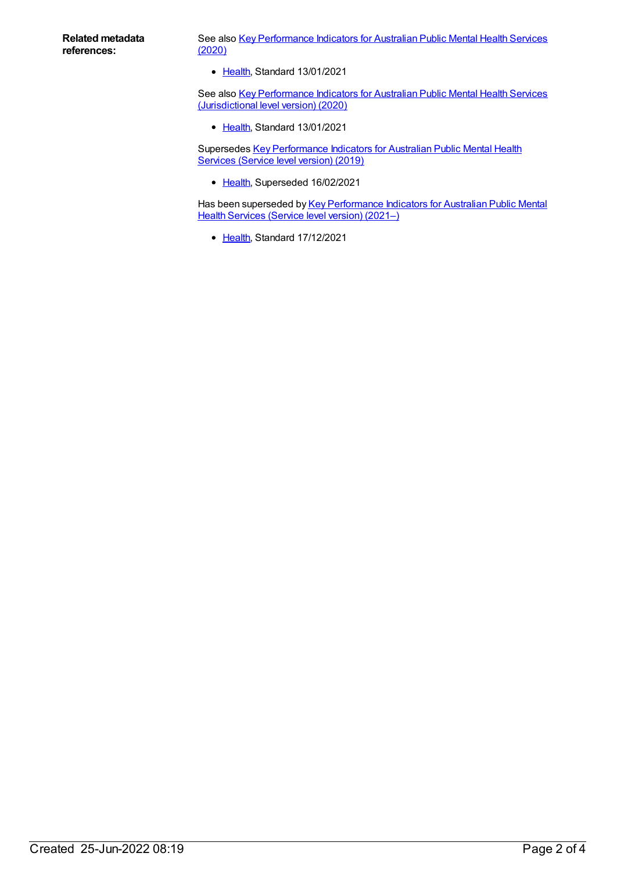See also Key [Performance](https://meteor.aihw.gov.au/content/720219) Indicators for Australian Public Mental Health Services (2020)

• [Health](https://meteor.aihw.gov.au/RegistrationAuthority/12), Standard 13/01/2021

See also Key [Performance](https://meteor.aihw.gov.au/content/720487) Indicators for Australian Public Mental Health Services (Jurisdictional level version) (2020)

• [Health](https://meteor.aihw.gov.au/RegistrationAuthority/12), Standard 13/01/2021

Supersedes Key [Performance](https://meteor.aihw.gov.au/content/712066) Indicators for Australian Public Mental Health Services (Service level version) (2019)

• [Health](https://meteor.aihw.gov.au/RegistrationAuthority/12), Superseded 16/02/2021

Has been superseded by Key [Performance](https://meteor.aihw.gov.au/content/742456) Indicators for Australian Public Mental Health Services (Service level version) (2021–)

• [Health](https://meteor.aihw.gov.au/RegistrationAuthority/12), Standard 17/12/2021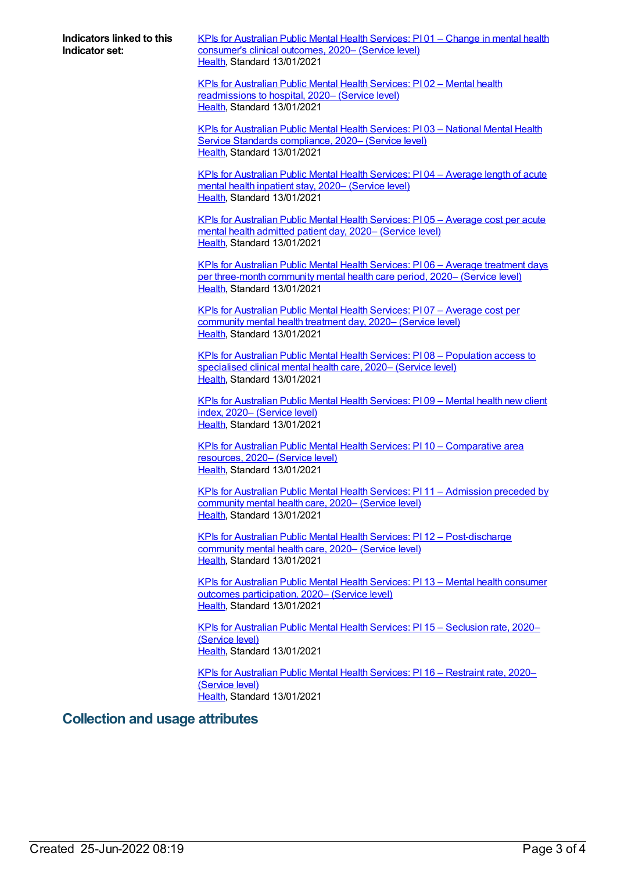**Indicators linked to this Indicator set:**

KPIs for [Australian](https://meteor.aihw.gov.au/content/725513) Public Mental Health Services: PI 01 – Change in mental health consumer's clinical outcomes, 2020– (Service level) [Health](https://meteor.aihw.gov.au/RegistrationAuthority/12), Standard 13/01/2021

KPIs for Australian Public Mental Health Services: PI 02 – Mental health [readmissions](https://meteor.aihw.gov.au/content/725525) to hospital, 2020– (Service level) [Health](https://meteor.aihw.gov.au/RegistrationAuthority/12), Standard 13/01/2021

KPIs for [Australian](https://meteor.aihw.gov.au/content/725527) Public Mental Health Services: PI 03 – National Mental Health Service Standards compliance, 2020– (Service level) [Health](https://meteor.aihw.gov.au/RegistrationAuthority/12), Standard 13/01/2021

KPIs for [Australian](https://meteor.aihw.gov.au/content/725507) Public Mental Health Services: PI 04 – Average length of acute mental health inpatient stay, 2020– (Service level) [Health](https://meteor.aihw.gov.au/RegistrationAuthority/12), Standard 13/01/2021

KPIs for [Australian](https://meteor.aihw.gov.au/content/725503) Public Mental Health Services: PI 05 – Average cost per acute mental health admitted patient day, 2020– (Service level) [Health](https://meteor.aihw.gov.au/RegistrationAuthority/12), Standard 13/01/2021

KPIs for Australian Public Mental Health Services: PI 06 – Average treatment days per [three-month](https://meteor.aihw.gov.au/content/725509) community mental health care period, 2020– (Service level) [Health](https://meteor.aihw.gov.au/RegistrationAuthority/12), Standard 13/01/2021

KPIs for [Australian](https://meteor.aihw.gov.au/content/725505) Public Mental Health Services: PI 07 – Average cost per community mental health treatment day, 2020– (Service level) [Health](https://meteor.aihw.gov.au/RegistrationAuthority/12), Standard 13/01/2021

KPIs for Australian Public Mental Health Services: PI 08 – [Population](https://meteor.aihw.gov.au/content/727379) access to specialised clinical mental health care, 2020– (Service level) [Health](https://meteor.aihw.gov.au/RegistrationAuthority/12), Standard 13/01/2021

KPIs for [Australian](https://meteor.aihw.gov.au/content/725519) Public Mental Health Services: PI 09 – Mental health new client index, 2020– (Service level) [Health](https://meteor.aihw.gov.au/RegistrationAuthority/12), Standard 13/01/2021

KPIs for Australian Public Mental Health Services: PI 10 – [Comparative](https://meteor.aihw.gov.au/content/725515) area resources, 2020– (Service level) [Health](https://meteor.aihw.gov.au/RegistrationAuthority/12), Standard 13/01/2021

KPIs for Australian Public Mental Health Services: PI 11 – [Admission](https://meteor.aihw.gov.au/content/725532) preceded by community mental health care, 2020– (Service level) [Health](https://meteor.aihw.gov.au/RegistrationAuthority/12), Standard 13/01/2021

KPIs for Australian Public Mental Health Services: PI 12 – [Post-discharge](https://meteor.aihw.gov.au/content/725530) community mental health care, 2020– (Service level) [Health](https://meteor.aihw.gov.au/RegistrationAuthority/12), Standard 13/01/2021

KPIs for Australian Public Mental Health Services: PI 13 – Mental health consumer outcomes [participation,](https://meteor.aihw.gov.au/content/725517) 2020– (Service level) [Health](https://meteor.aihw.gov.au/RegistrationAuthority/12), Standard 13/01/2021

KPIs for [Australian](https://meteor.aihw.gov.au/content/725538) Public Mental Health Services: PI 15 – Seclusion rate, 2020– (Service level) [Health](https://meteor.aihw.gov.au/RegistrationAuthority/12), Standard 13/01/2021

KPIs for [Australian](https://meteor.aihw.gov.au/content/725536) Public Mental Health Services: PI 16 – Restraint rate, 2020– (Service level) [Health](https://meteor.aihw.gov.au/RegistrationAuthority/12), Standard 13/01/2021

#### **Collection and usage attributes**